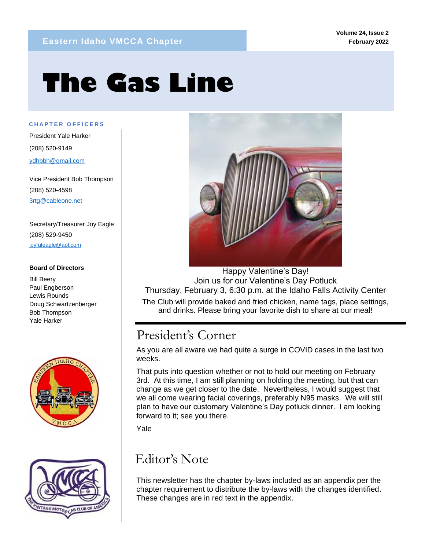# **The Gas Line**

**C H A P T E R O F F I C E R S**

mm

President Yale Harker (208) 520-9149 ydhbbh@gmail.com

Vice President Bob Thompson (208) 520-4598 3rtg@cableone.net

Secretary/Treasurer Joy Eagle (208) 529-9450 joyfuleagle@aol.com

#### **Board of Directors**

Bill Beery Paul Engberson Lewis Rounds Doug Schwartzenberger Bob Thompson Yale Harker







Happy Valentine's Day! Join us for our Valentine's Day Potluck Thursday, February 3, 6:30 p.m. at the Idaho Falls Activity Center

The Club will provide baked and fried chicken, name tags, place settings, and drinks. Please bring your favorite dish to share at our meal!

# President's Corner

As you are all aware we had quite a surge in COVID cases in the last two weeks.

That puts into question whether or not to hold our meeting on February 3rd. At this time, I am still planning on holding the meeting, but that can change as we get closer to the date. Nevertheless, I would suggest that we all come wearing facial coverings, preferably N95 masks. We will still plan to have our customary Valentine's Day potluck dinner. I am looking forward to it; see you there.

Yale

# Editor's Note

This newsletter has the chapter by-laws included as an appendix per the chapter requirement to distribute the by-laws with the changes identified. These changes are in red text in the appendix.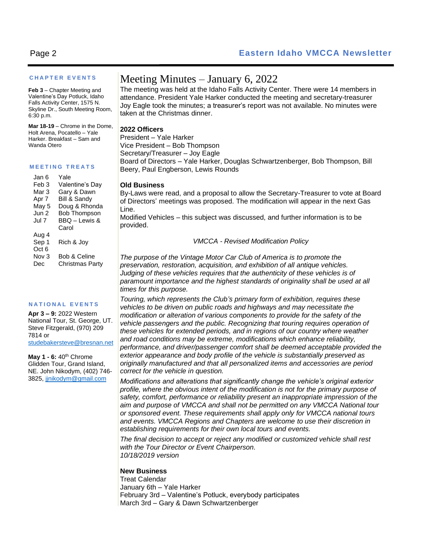#### **C H A P T E R E V E N T S**

**Feb 3** – Chapter Meeting and Valentine's Day Potluck, Idaho Falls Activity Center, 1575 N. Skyline Dr., South Meeting Room, 6:30 p.m.

**Mar 18-19** – Chrome in the Dome, Holt Arena, Pocatello – Yale Harker. Breakfast – Sam and Wanda Otero

#### **M E E T I N G T R E A T S**

| Jan 6            | Yale                   |
|------------------|------------------------|
| Feb <sub>3</sub> | Valentine's Day        |
| Mar 3            | Gary & Dawn            |
| Apr 7            | Bill & Sandy           |
| May 5            | Doug & Rhonda          |
| Jun 2            | <b>Bob Thompson</b>    |
| Jul 7            | BBQ - Lewis &          |
|                  | Carol                  |
| Aug 4            |                        |
| Sep 1            | Rich & Joy             |
| Oct <sub>6</sub> |                        |
| Nov 3            | Bob & Celine           |
| Dec              | <b>Christmas Party</b> |

#### **N A T I O N A L E V E N T S**

**Apr 3 – 9:** 2022 Western National Tour, St. George, UT. Steve Fitzgerald, (970) 209 7814 or [studebakersteve@bresnan.net](mailto:studebakersteve@bresnan.net)

**May 1 - 6:** 40th Chrome Glidden Tour, Grand Island, NE. John Nikodym, (402) 746- 3825[, jjnikodym@gmail.com](mailto:jjnikodym@gmail.com)

## Meeting Minutes – January 6, 2022

The meeting was held at the Idaho Falls Activity Center. There were 14 members in attendance. President Yale Harker conducted the meeting and secretary-treasurer Joy Eagle took the minutes; a treasurer's report was not available. No minutes were taken at the Christmas dinner.

#### **2022 Officers**

President – Yale Harker Vice President – Bob Thompson Secretary/Treasurer – Joy Eagle Board of Directors – Yale Harker, Douglas Schwartzenberger, Bob Thompson, Bill Beery, Paul Engberson, Lewis Rounds

#### **Old Business**

By-Laws were read, and a proposal to allow the Secretary-Treasurer to vote at Board of Directors' meetings was proposed. The modification will appear in the next Gas Line.

Modified Vehicles – this subject was discussed, and further information is to be provided.

#### *VMCCA - Revised Modification Policy*

*The purpose of the Vintage Motor Car Club of America is to promote the preservation, restoration, acquisition, and exhibition of all antique vehicles. Judging of these vehicles requires that the authenticity of these vehicles is of* paramount importance and the highest standards of originality shall be used at all *times for this purpose.*

*Touring, which represents the Club's primary form of exhibition, requires these vehicles to be driven on public roads and highways and may necessitate the modification or alteration of various components to provide for the safety of the vehicle passengers and the public. Recognizing that touring requires operation of these vehicles for extended periods, and in regions of our country where weather and road conditions may be extreme, modifications which enhance reliability, performance, and driver/passenger comfort shall be deemed acceptable provided the exterior appearance and body profile of the vehicle is substantially preserved as originally manufactured and that all personalized items and accessories are period correct for the vehicle in question.*

*Modifications and alterations that significantly change the vehicle's original exterior profile, where the obvious intent of the modification is not for the primary purpose of safety, comfort, performance or reliability present an inappropriate impression of the aim and purpose of VMCCA and shall not be permitted on any VMCCA National tour or sponsored event. These requirements shall apply only for VMCCA national tours and events. VMCCA Regions and Chapters are welcome to use their discretion in establishing requirements for their own local tours and events.*

*The final decision to accept or reject any modified or customized vehicle shall rest with the Tour Director or Event Chairperson. 10/18/2019 version*

#### **New Business**

Treat Calendar January 6th – Yale Harker February 3rd – Valentine's Potluck, everybody participates March 3rd – Gary & Dawn Schwartzenberger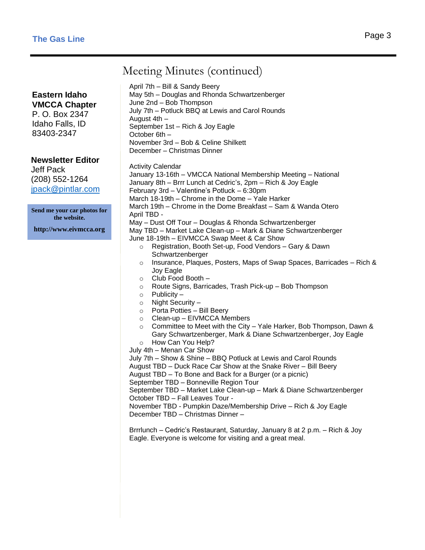# Meeting Minutes (continued)

**Eastern Idaho VMCCA Chapter**

P. O. Box 2347 Idaho Falls, ID 83403-2347

**Newsletter Editor**

Jeff Pack (208) 552-1264 jpack@pintlar.com

**Send me your car photos for the website.**

**http://www.eivmcca.org**

April 7th – Bill & Sandy Beery May 5th – Douglas and Rhonda Schwartzenberger June 2nd – Bob Thompson July 7th – Potluck BBQ at Lewis and Carol Rounds August 4th – September 1st – Rich & Joy Eagle October 6th – November 3rd – Bob & Celine Shilkett December – Christmas Dinner

Activity Calendar

January 13-16th – VMCCA National Membership Meeting – National January 8th – Brrr Lunch at Cedric's, 2pm – Rich & Joy Eagle February 3rd – Valentine's Potluck – 6:30pm March 18-19th – Chrome in the Dome – Yale Harker March 19th – Chrome in the Dome Breakfast – Sam & Wanda Otero April TBD - May – Dust Off Tour – Douglas & Rhonda Schwartzenberger May TBD – Market Lake Clean-up – Mark & Diane Schwartzenberger June 18-19th – EIVMCCA Swap Meet & Car Show o Registration, Booth Set-up, Food Vendors – Gary & Dawn

- Schwartzenberger  $\circ$  Insurance, Plaques, Posters, Maps of Swap Spaces, Barricades – Rich & Joy Eagle
- o Club Food Booth –
- o Route Signs, Barricades, Trash Pick-up Bob Thompson
- $\circ$  Publicity –
- o Night Security –
- o Porta Potties Bill Beery
- o Clean-up EIVMCCA Members
- o Committee to Meet with the City Yale Harker, Bob Thompson, Dawn & Gary Schwartzenberger, Mark & Diane Schwartzenberger, Joy Eagle
- o How Can You Help? July 4th – Menan Car Show

July 7th – Show & Shine – BBQ Potluck at Lewis and Carol Rounds August TBD – Duck Race Car Show at the Snake River – Bill Beery August TBD – To Bone and Back for a Burger (or a picnic) September TBD – Bonneville Region Tour

September TBD – Market Lake Clean-up – Mark & Diane Schwartzenberger October TBD – Fall Leaves Tour -

November TBD - Pumpkin Daze/Membership Drive – Rich & Joy Eagle December TBD – Christmas Dinner –

Brrrlunch – Cedric's Restaurant, Saturday, January 8 at 2 p.m. – Rich & Joy Eagle. Everyone is welcome for visiting and a great meal.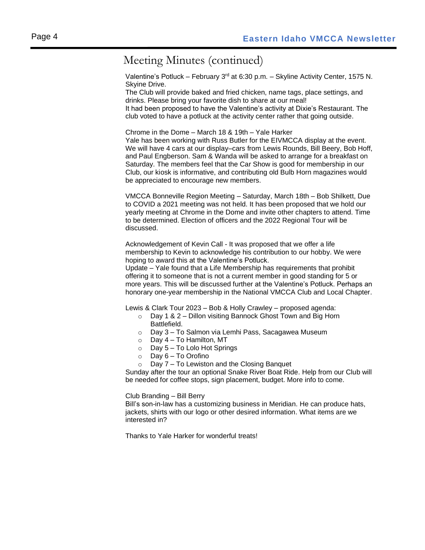# Meeting Minutes (continued)

Valentine's Potluck – February 3<sup>rd</sup> at 6:30 p.m. – Skyline Activity Center, 1575 N. Skyine Drive.

The Club will provide baked and fried chicken, name tags, place settings, and drinks. Please bring your favorite dish to share at our meal!

It had been proposed to have the Valentine's activity at Dixie's Restaurant. The club voted to have a potluck at the activity center rather that going outside.

Chrome in the Dome – March 18 & 19th – Yale Harker

Yale has been working with Russ Butler for the EIVMCCA display at the event. We will have 4 cars at our display–cars from Lewis Rounds, Bill Beery, Bob Hoff, and Paul Engberson. Sam & Wanda will be asked to arrange for a breakfast on Saturday. The members feel that the Car Show is good for membership in our Club, our kiosk is informative, and contributing old Bulb Horn magazines would be appreciated to encourage new members.

VMCCA Bonneville Region Meeting – Saturday, March 18th – Bob Shilkett, Due to COVID a 2021 meeting was not held. It has been proposed that we hold our yearly meeting at Chrome in the Dome and invite other chapters to attend. Time to be determined. Election of officers and the 2022 Regional Tour will be discussed.

Acknowledgement of Kevin Call - It was proposed that we offer a life membership to Kevin to acknowledge his contribution to our hobby. We were hoping to award this at the Valentine's Potluck.

Update – Yale found that a Life Membership has requirements that prohibit offering it to someone that is not a current member in good standing for 5 or more years. This will be discussed further at the Valentine's Potluck. Perhaps an honorary one-year membership in the National VMCCA Club and Local Chapter.

Lewis & Clark Tour 2023 – Bob & Holly Crawley – proposed agenda:

- o Day 1 & 2 Dillon visiting Bannock Ghost Town and Big Horn Battlefield.
- o Day 3 To Salmon via Lemhi Pass, Sacagawea Museum
- o Day 4 To Hamilton, MT
- o Day 5 To Lolo Hot Springs
- o Day 6 To Orofino
- o Day 7 To Lewiston and the Closing Banquet

Sunday after the tour an optional Snake River Boat Ride. Help from our Club will be needed for coffee stops, sign placement, budget. More info to come.

Club Branding – Bill Berry

Bill's son-in-law has a customizing business in Meridian. He can produce hats, jackets, shirts with our logo or other desired information. What items are we interested in?

Thanks to Yale Harker for wonderful treats!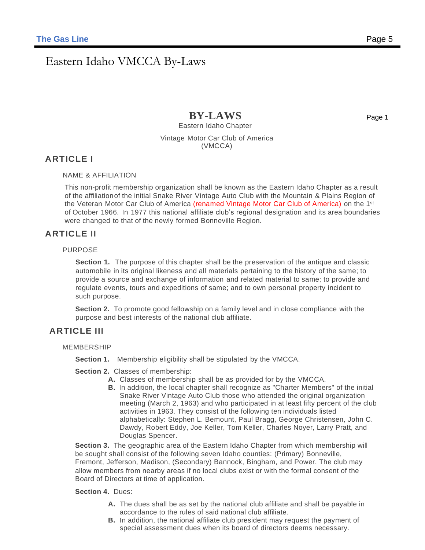# Eastern Idaho VMCCA By-Laws

**BY-LAWS** Eastern Idaho Chapter

Page 1

Vintage Motor Car Club of America (VMCCA)

#### **ARTICLE I**

NAME & AFFILIATION

This non-profit membership organization shall be known as the Eastern Idaho Chapter as a result of the affiliationof the initial Snake River Vintage Auto Club with the Mountain & Plains Region of the Veteran Motor Car Club of America (renamed Vintage Motor Car Club of America) on the 1st of October 1966. In 1977 this national affiliate club's regional designation and its area boundaries were changed to that of the newly formed Bonneville Region.

#### **ARTICLE II**

#### PURPOSE

**Section 1.** The purpose of this chapter shall be the preservation of the antique and classic automobile in its original likeness and all materials pertaining to the history of the same; to provide a source and exchange of information and related material to same; to provide and regulate events, tours and expeditions of same; and to own personal property incident to such purpose.

**Section 2.** To promote good fellowship on a family level and in close compliance with the purpose and best interests of the national club affiliate.

#### **ARTICLE III**

MEMBERSHIP

**Section 1.** Membership eligibility shall be stipulated by the VMCCA.

**Section 2.** Classes of membership:

- **A.** Classes of membership shall be as provided for by the VMCCA.
- **B.** In addition, the local chapter shall recognize as "Charter Members" of the initial Snake River Vintage Auto Club those who attended the original organization meeting (March 2, 1963) and who participated in at least fifty percent of the club activities in 1963. They consist of the following ten individuals listed alphabetically: Stephen L. Bemount, Paul Bragg, George Christensen, John C. Dawdy, Robert Eddy, Joe Keller, Tom Keller, Charles Noyer, Larry Pratt, and Douglas Spencer.

**Section 3.** The geographic area of the Eastern Idaho Chapter from which membership will be sought shall consist of the following seven Idaho counties: (Primary) Bonneville, Fremont, Jefferson, Madison, (Secondary) Bannock, Bingham, and Power. The club may allow members from nearby areas if no local clubs exist or with the formal consent of the Board of Directors at time of application.

#### **Section 4.** Dues:

- **A.** The dues shall be as set by the national club affiliate and shall be payable in accordance to the rules of said national club affiliate.
- **B.** In addition, the national affiliate club president may request the payment of special assessment dues when its board of directors deems necessary.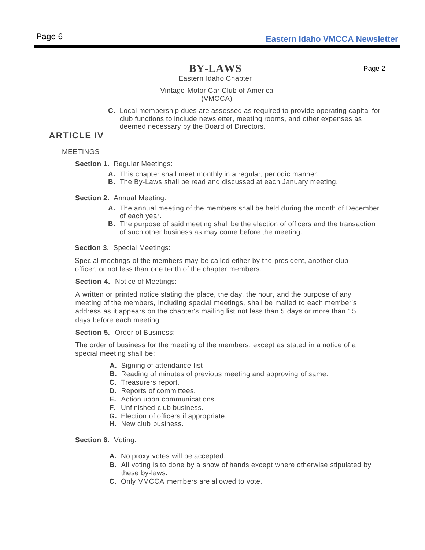Page 2

Eastern Idaho Chapter

#### Vintage Motor Car Club of America (VMCCA)

**C.** Local membership dues are assessed as required to provide operating capital for club functions to include newsletter, meeting rooms, and other expenses as deemed necessary by the Board of Directors.

#### **ARTICLE IV**

#### MEETINGS

**Section 1.** Regular Meetings:

- **A.** This chapter shall meet monthly in a regular, periodic manner.
- **B.** The By-Laws shall be read and discussed at each January meeting.

**Section 2.** Annual Meeting:

- **A.** The annual meeting of the members shall be held during the month of December of each year.
- **B.** The purpose of said meeting shall be the election of officers and the transaction of such other business as may come before the meeting.

**Section 3.** Special Meetings:

Special meetings of the members may be called either by the president, another club officer, or not less than one tenth of the chapter members.

**Section 4.** Notice of Meetings:

A written or printed notice stating the place, the day, the hour, and the purpose of any meeting of the members, including special meetings, shall be mailed to each member's address as it appears on the chapter's mailing list not less than 5 days or more than 15 days before each meeting.

**Section 5.** Order of Business:

The order of business for the meeting of the members, except as stated in a notice of a special meeting shall be:

- **A.** Signing of attendance list
- **B.** Reading of minutes of previous meeting and approving of same.
- **C.** Treasurers report.
- **D.** Reports of committees.
- **E.** Action upon communications.
- **F.** Unfinished club business.
- **G.** Election of officers if appropriate.
- **H.** New club business.

**Section 6.** Voting:

- **A.** No proxy votes will be accepted.
- **B.** All voting is to done by a show of hands except where otherwise stipulated by these by-laws.
- **C.** Only VMCCA members are allowed to vote.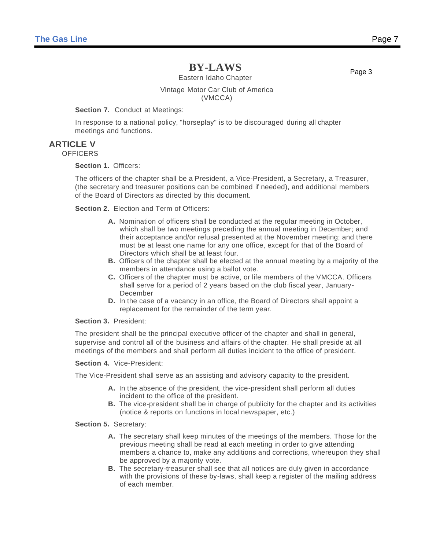Eastern Idaho Chapter

Page 3

#### Vintage Motor Car Club of America (VMCCA)

#### **Section 7.** Conduct at Meetings:

In response to a national policy, "horseplay" is to be discouraged during all chapter meetings and functions.

#### **ARTICLE V**

**OFFICERS** 

#### **Section 1.** Officers:

The officers of the chapter shall be a President, a Vice-President, a Secretary, a Treasurer, (the secretary and treasurer positions can be combined if needed), and additional members of the Board of Directors as directed by this document.

**Section 2.** Election and Term of Officers:

- **A.** Nomination of officers shall be conducted at the regular meeting in October, which shall be two meetings preceding the annual meeting in December; and their acceptance and/or refusal presented at the November meeting; and there must be at least one name for any one office, except for that of the Board of Directors which shall be at least four.
- **B.** Officers of the chapter shall be elected at the annual meeting by a majority of the members in attendance using a ballot vote.
- **C.** Officers of the chapter must be active, or life members of the VMCCA. Officers shall serve for a period of 2 years based on the club fiscal year, January-December
- **D.** In the case of a vacancy in an office, the Board of Directors shall appoint a replacement for the remainder of the term year.

#### **Section 3.** President:

The president shall be the principal executive officer of the chapter and shall in general, supervise and control all of the business and affairs of the chapter. He shall preside at all meetings of the members and shall perform all duties incident to the office of president.

**Section 4.** Vice-President:

The Vice-President shall serve as an assisting and advisory capacity to the president.

- **A.** In the absence of the president, the vice-president shall perform all duties incident to the office of the president.
- **B.** The vice-president shall be in charge of publicity for the chapter and its activities (notice & reports on functions in local newspaper, etc.)

**Section 5.** Secretary:

- **A.** The secretary shall keep minutes of the meetings of the members. Those for the previous meeting shall be read at each meeting in order to give attending members a chance to, make any additions and corrections, whereupon they shall be approved by a majority vote.
- **B.** The secretary-treasurer shall see that all notices are duly given in accordance with the provisions of these by-laws, shall keep a register of the mailing address of each member.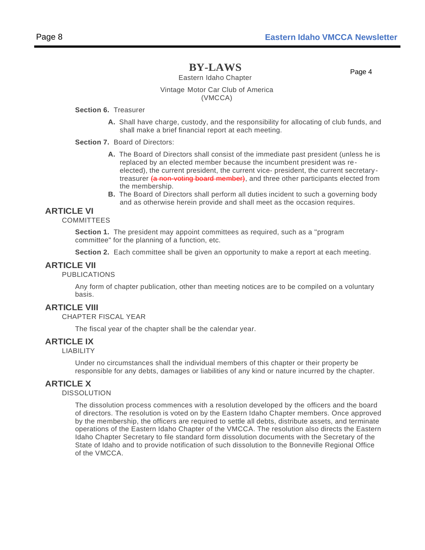Eastern Idaho Chapter

Page 4

#### Vintage Motor Car Club of America (VMCCA)

#### **Section 6.** Treasurer

**A.** Shall have charge, custody, and the responsibility for allocating of club funds, and shall make a brief financial report at each meeting.

#### **Section 7.** Board of Directors:

- **A.** The Board of Directors shall consist of the immediate past president (unless he is replaced by an elected member because the incumbent president was reelected), the current president, the current vice- president, the current secretarytreasurer (a non-voting board member), and three other participants elected from the membership.
- **B.** The Board of Directors shall perform all duties incident to such a governing body and as otherwise herein provide and shall meet as the occasion requires.

#### **ARTICLE VI**

#### **COMMITTEES**

**Section 1.** The president may appoint committees as required, such as a ''program committee" for the planning of a function, etc.

**Section 2.** Each committee shall be given an opportunity to make a report at each meeting.

#### **ARTICLE VII**

#### PUBLICATIONS

Any form of chapter publication, other than meeting notices are to be compiled on a voluntary basis.

#### **ARTICLE VIII**

#### CHAPTER FISCAL YEAR

The fiscal year of the chapter shall be the calendar year.

#### **ARTICLE IX**

#### LIABILITY

Under no circumstances shall the individual members of this chapter or their property be responsible for any debts, damages or liabilities of any kind or nature incurred by the chapter.

#### **ARTICLE X**

#### DISSOLUTION

The dissolution process commences with a resolution developed by the officers and the board of directors. The resolution is voted on by the Eastern Idaho Chapter members. Once approved by the membership, the officers are required to settle all debts, distribute assets, and terminate operations of the Eastern Idaho Chapter of the VMCCA. The resolution also directs the Eastern Idaho Chapter Secretary to file standard form dissolution documents with the Secretary of the State of Idaho and to provide notification of such dissolution to the Bonneville Regional Office of the VMCCA.